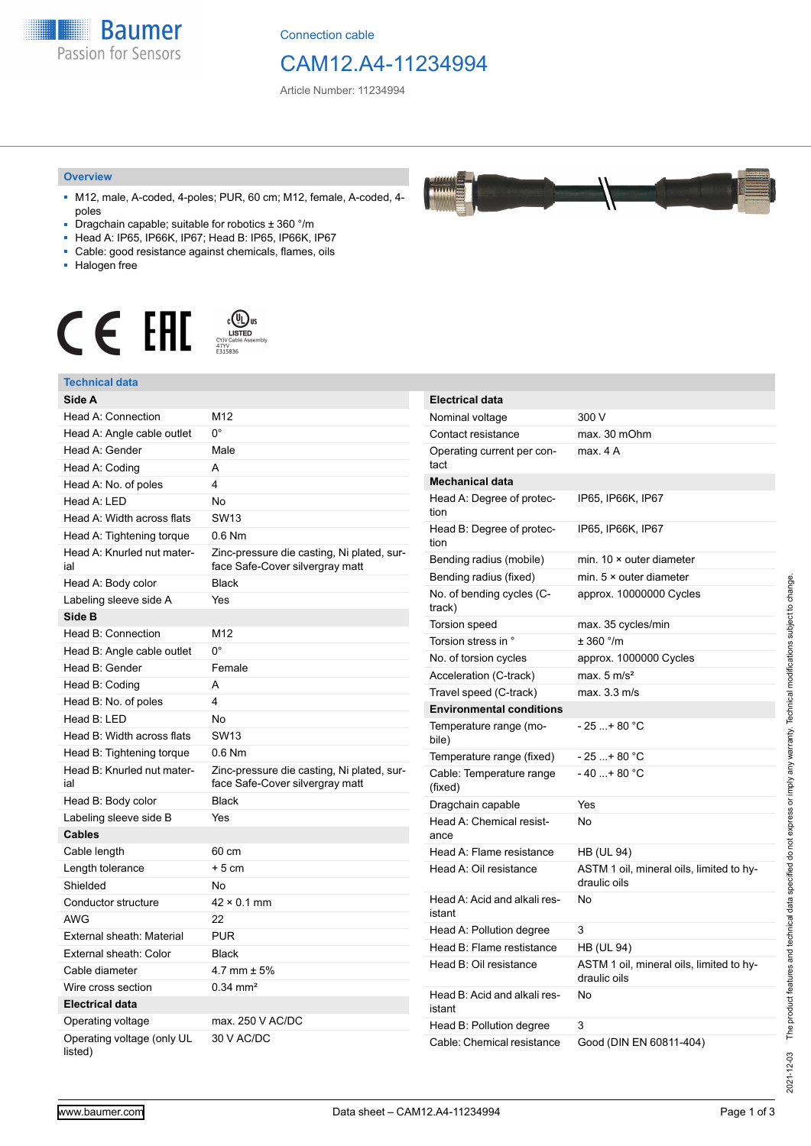

Connection cable

## CAM12.A4-11234994

Article Number: 11234994

### **Overview**

- M12, male, A-coded, 4-poles; PUR, 60 cm; M12, female, A-coded, 4 poles
- Dragchain capable; suitable for robotics ± 360 °/m
- Head A: IP65, IP66K, IP67; Head B: IP65, IP66K, IP67
- Cable: good resistance against chemicals, flames, oils
- Halogen free



### **Technical data**

| rechnical data                        |                                                                               |                                   |                                                          |
|---------------------------------------|-------------------------------------------------------------------------------|-----------------------------------|----------------------------------------------------------|
| Side A                                |                                                                               | <b>Electrical data</b>            |                                                          |
| Head A: Connection                    | M12                                                                           | Nominal voltage                   | 300 V                                                    |
| Head A: Angle cable outlet            | $0^{\circ}$                                                                   | Contact resistance                | max. 30 mOhm                                             |
| Head A: Gender                        | Male                                                                          | Operating current per con-        | max. 4A                                                  |
| Head A: Coding                        | A                                                                             | tact                              |                                                          |
| Head A: No. of poles                  | $\overline{4}$                                                                | <b>Mechanical data</b>            |                                                          |
| Head A: LED                           | No                                                                            | Head A: Degree of protec-         | IP65, IP66K, IP67                                        |
| Head A: Width across flats            | <b>SW13</b>                                                                   | tion                              |                                                          |
| Head A: Tightening torque             | 0.6 Nm                                                                        | Head B: Degree of protec-<br>tion | IP65, IP66K, IP67                                        |
| Head A: Knurled nut mater-<br>ial     | Zinc-pressure die casting, Ni plated, sur-<br>face Safe-Cover silvergray matt | Bending radius (mobile)           | min. $10 \times$ outer diameter                          |
| Head A: Body color                    | <b>Black</b>                                                                  | Bending radius (fixed)            | min. $5 \times$ outer diameter                           |
| Labeling sleeve side A                | Yes                                                                           | No. of bending cycles (C-         | approx. 10000000 Cycles                                  |
| Side B                                |                                                                               | track)                            |                                                          |
| Head B: Connection                    | M12                                                                           | <b>Torsion speed</b>              | max. 35 cycles/min                                       |
| Head B: Angle cable outlet            | $0^{\circ}$                                                                   | Torsion stress in °               | ± 360 °/m                                                |
| Head B: Gender                        | Female                                                                        | No. of torsion cycles             | approx. 1000000 Cycles                                   |
| Head B: Coding                        | Α                                                                             | Acceleration (C-track)            | max. $5 \text{ m/s}^2$                                   |
| Head B: No. of poles                  | 4                                                                             | Travel speed (C-track)            | max. 3.3 m/s                                             |
| Head B: LED                           | <b>No</b>                                                                     | <b>Environmental conditions</b>   |                                                          |
| Head B: Width across flats            | <b>SW13</b>                                                                   | Temperature range (mo-<br>bile)   | $-25+80 °C$                                              |
| Head B: Tightening torque             | 0.6 Nm                                                                        | Temperature range (fixed)         | $-25+80 °C$                                              |
| Head B: Knurled nut mater-            | Zinc-pressure die casting, Ni plated, sur-                                    | Cable: Temperature range          | $-40+80 °C$                                              |
| ial                                   | face Safe-Cover silvergray matt                                               | (fixed)                           |                                                          |
| Head B: Body color                    | <b>Black</b>                                                                  | Dragchain capable                 | Yes                                                      |
| Labeling sleeve side B                | Yes                                                                           | Head A: Chemical resist-<br>ance  | No                                                       |
| <b>Cables</b>                         |                                                                               |                                   |                                                          |
| Cable length                          | 60 cm                                                                         | Head A: Flame resistance          | <b>HB (UL 94)</b>                                        |
| Length tolerance                      | $+5$ cm                                                                       | Head A: Oil resistance            | ASTM 1 oil, mineral oils, limited to hy-<br>draulic oils |
| Shielded                              | <b>No</b>                                                                     |                                   |                                                          |
| Conductor structure                   | $42 \times 0.1$ mm                                                            | Head A: Acid and alkali res-      | No                                                       |
| <b>AWG</b>                            | 22                                                                            | istant                            |                                                          |
| External sheath: Material             | <b>PUR</b>                                                                    | Head A: Pollution degree          | 3                                                        |
| External sheath: Color                | <b>Black</b>                                                                  | Head B: Flame restistance         | <b>HB (UL 94)</b>                                        |
| Cable diameter                        | 4.7 mm $\pm$ 5%                                                               | Head B: Oil resistance            | ASTM 1 oil, mineral oils, limited to hy-<br>draulic oils |
| Wire cross section                    | $0.34$ mm <sup>2</sup>                                                        | Head B: Acid and alkali res-      | No                                                       |
| <b>Electrical data</b>                |                                                                               | istant                            |                                                          |
| Operating voltage                     | max. 250 V AC/DC                                                              | Head B: Pollution degree          | 3                                                        |
| Operating voltage (only UL<br>listed) | 30 V AC/DC                                                                    | Cable: Chemical resistance        | Good (DIN EN 60811-404)                                  |

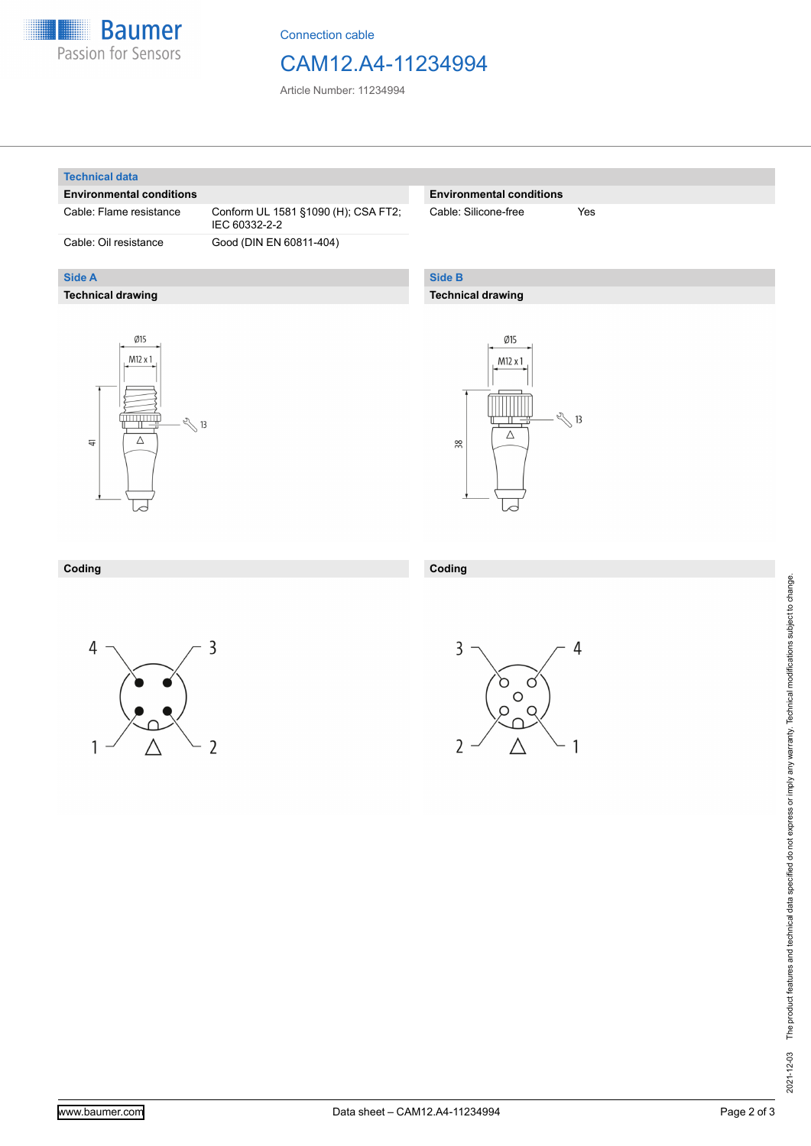

Connection cable

## CAM12.A4-11234994

Article Number: 11234994

### **Technical data**

**Side A**

### **Environmental conditions**

**Technical drawing**

Cable: Flame resistance Conform UL 1581 §1090 (H); CSA FT2; IEC 60332-2-2 Cable: Oil resistance Good (DIN EN 60811-404)

## **Environmental conditions**

Cable: Silicone-free Yes

## **Side B**

**Coding**

## **Technical drawing**





#### **Coding**